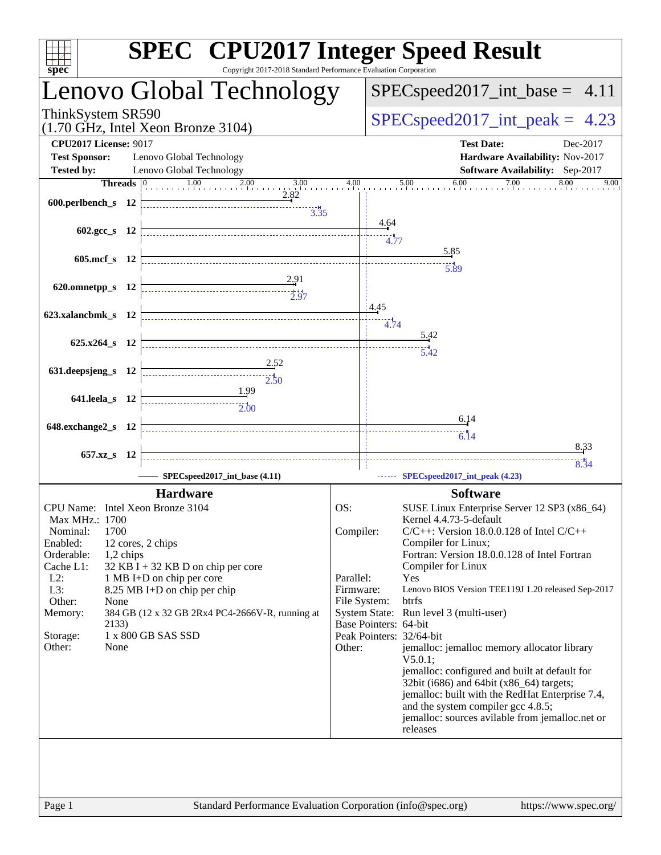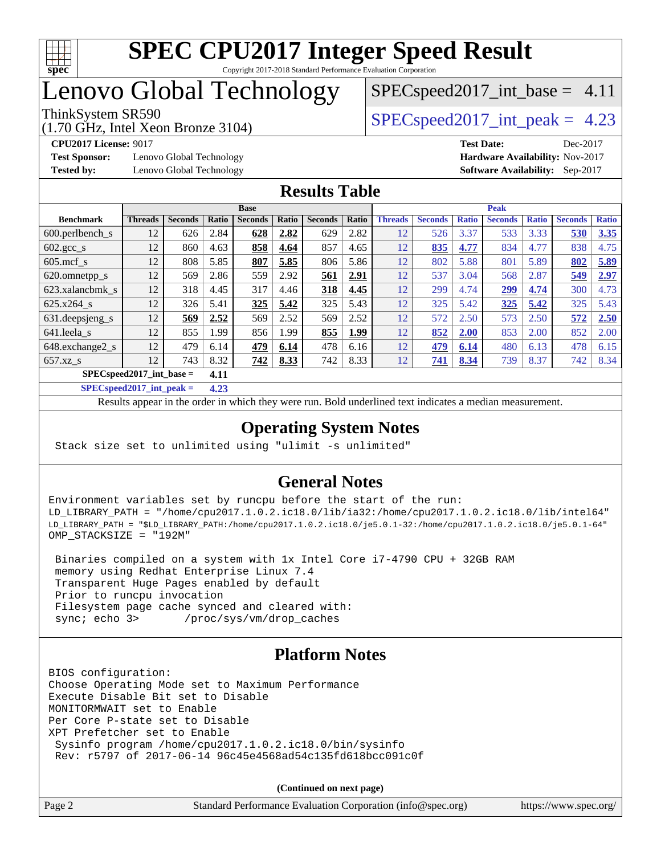

# Lenovo Global Technology

(1.70 GHz, Intel Xeon Bronze 3104)

 $SPECspeed2017\_int\_peak = 4.23$ 

 $SPECspeed2017\_int\_base = 4.11$ 

**[Test Sponsor:](http://www.spec.org/auto/cpu2017/Docs/result-fields.html#TestSponsor)** Lenovo Global Technology **[Hardware Availability:](http://www.spec.org/auto/cpu2017/Docs/result-fields.html#HardwareAvailability)** Nov-2017 **[Tested by:](http://www.spec.org/auto/cpu2017/Docs/result-fields.html#Testedby)** Lenovo Global Technology **[Software Availability:](http://www.spec.org/auto/cpu2017/Docs/result-fields.html#SoftwareAvailability)** Sep-2017

**[CPU2017 License:](http://www.spec.org/auto/cpu2017/Docs/result-fields.html#CPU2017License)** 9017 **[Test Date:](http://www.spec.org/auto/cpu2017/Docs/result-fields.html#TestDate)** Dec-2017

### **[Results Table](http://www.spec.org/auto/cpu2017/Docs/result-fields.html#ResultsTable)**

|                                      | <b>Base</b>    |                |       |                |       | <b>Peak</b>    |       |                |                |              |                |              |                |              |
|--------------------------------------|----------------|----------------|-------|----------------|-------|----------------|-------|----------------|----------------|--------------|----------------|--------------|----------------|--------------|
| <b>Benchmark</b>                     | <b>Threads</b> | <b>Seconds</b> | Ratio | <b>Seconds</b> | Ratio | <b>Seconds</b> | Ratio | <b>Threads</b> | <b>Seconds</b> | <b>Ratio</b> | <b>Seconds</b> | <b>Ratio</b> | <b>Seconds</b> | <b>Ratio</b> |
| $600.$ perlbench $\mathsf{S}$        | 12             | 626            | 2.84  | 628            | 2.82  | 629            | 2.82  | 12             | 526            | 3.37         | 533            | 3.33         | 530            | 3.35         |
| $602 \text{.} \text{gcc}\text{_<}$ s | 12             | 860            | 4.63  | 858            | 4.64  | 857            | 4.65  | 12             | 835            | 4.77         | 834            | 4.77         | 838            | 4.75         |
| $605 \text{.mcf}$ s                  | 12             | 808            | 5.85  | 807            | 5.85  | 806            | 5.86  | 12             | 802            | 5.88         | 801            | 5.89         | 802            | 5.89         |
| 620.omnetpp_s                        | 12             | 569            | 2.86  | 559            | 2.92  | 561            | 2.91  | 12             | 537            | 3.04         | 568            | 2.87         | 549            | 2.97         |
| 623.xalancbmk s                      | 12             | 318            | 4.45  | 317            | 4.46  | 318            | 4.45  | 12             | 299            | 4.74         | 299            | 4.74         | 300            | 4.73         |
| $625.x264$ s                         | 12             | 326            | 5.41  | 325            | 5.42  | 325            | 5.43  | 12             | 325            | 5.42         | 325            | 5.42         | 325            | 5.43         |
| 631.deepsjeng_s                      | 12             | 569            | 2.52  | 569            | 2.52  | 569            | 2.52  | 12             | 572            | 2.50         | 573            | 2.50         | 572            | 2.50         |
| 641.leela s                          | 12             | 855            | 1.99  | 856            | 1.99  | 855            | 1.99  | 12             | 852            | 2.00         | 853            | 2.00         | 852            | 2.00         |
| 648.exchange2_s                      | 12             | 479            | 6.14  | 479            | 6.14  | 478            | 6.16  | 12             | 479            | 6.14         | 480            | 6.13         | 478            | 6.15         |
| $657.xz$ s                           | 12             | 743            | 8.32  | <u>742</u>     | 8.33  | 742            | 8.33  | 12             | 741            | 8.34         | 739            | 8.37         | 742            | 8.34         |
| $SPECspeed2017\_int\_base =$<br>4.11 |                |                |       |                |       |                |       |                |                |              |                |              |                |              |

**[SPECspeed2017\\_int\\_peak =](http://www.spec.org/auto/cpu2017/Docs/result-fields.html#SPECspeed2017intpeak) 4.23**

Results appear in the [order in which they were run.](http://www.spec.org/auto/cpu2017/Docs/result-fields.html#RunOrder) Bold underlined text [indicates a median measurement.](http://www.spec.org/auto/cpu2017/Docs/result-fields.html#Median)

#### **[Operating System Notes](http://www.spec.org/auto/cpu2017/Docs/result-fields.html#OperatingSystemNotes)**

Stack size set to unlimited using "ulimit -s unlimited"

### **[General Notes](http://www.spec.org/auto/cpu2017/Docs/result-fields.html#GeneralNotes)**

Environment variables set by runcpu before the start of the run: LD\_LIBRARY\_PATH = "/home/cpu2017.1.0.2.ic18.0/lib/ia32:/home/cpu2017.1.0.2.ic18.0/lib/intel64" LD\_LIBRARY\_PATH = "\$LD\_LIBRARY\_PATH:/home/cpu2017.1.0.2.ic18.0/je5.0.1-32:/home/cpu2017.1.0.2.ic18.0/je5.0.1-64" OMP\_STACKSIZE = "192M"

 Binaries compiled on a system with 1x Intel Core i7-4790 CPU + 32GB RAM memory using Redhat Enterprise Linux 7.4 Transparent Huge Pages enabled by default Prior to runcpu invocation Filesystem page cache synced and cleared with: sync; echo 3> /proc/sys/vm/drop\_caches

### **[Platform Notes](http://www.spec.org/auto/cpu2017/Docs/result-fields.html#PlatformNotes)**

BIOS configuration: Choose Operating Mode set to Maximum Performance Execute Disable Bit set to Disable MONITORMWAIT set to Enable Per Core P-state set to Disable XPT Prefetcher set to Enable Sysinfo program /home/cpu2017.1.0.2.ic18.0/bin/sysinfo Rev: r5797 of 2017-06-14 96c45e4568ad54c135fd618bcc091c0f

**(Continued on next page)**

| Page 2 | Standard Performance Evaluation Corporation (info@spec.org) | https://www.spec.org/ |
|--------|-------------------------------------------------------------|-----------------------|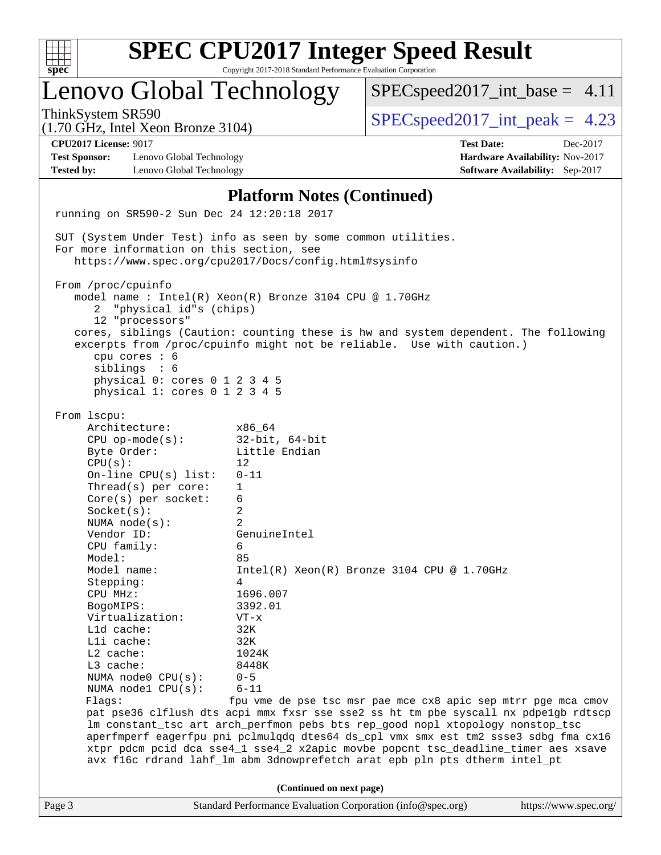| c<br>ť<br>ċ,<br>z |  |  |  |  |  |  |  |
|-------------------|--|--|--|--|--|--|--|

# Lenovo Global Technology

 $SPECspeed2017\_int\_base = 4.11$ 

(1.70 GHz, Intel Xeon Bronze 3104)

ThinkSystem SR590  $SPEC speed2017$  int peak = 4.23

**[Test Sponsor:](http://www.spec.org/auto/cpu2017/Docs/result-fields.html#TestSponsor)** Lenovo Global Technology **[Hardware Availability:](http://www.spec.org/auto/cpu2017/Docs/result-fields.html#HardwareAvailability)** Nov-2017 **[Tested by:](http://www.spec.org/auto/cpu2017/Docs/result-fields.html#Testedby)** Lenovo Global Technology **[Software Availability:](http://www.spec.org/auto/cpu2017/Docs/result-fields.html#SoftwareAvailability)** Sep-2017

**[CPU2017 License:](http://www.spec.org/auto/cpu2017/Docs/result-fields.html#CPU2017License)** 9017 **[Test Date:](http://www.spec.org/auto/cpu2017/Docs/result-fields.html#TestDate)** Dec-2017

#### **[Platform Notes \(Continued\)](http://www.spec.org/auto/cpu2017/Docs/result-fields.html#PlatformNotes)**

Page 3 Standard Performance Evaluation Corporation [\(info@spec.org\)](mailto:info@spec.org) <https://www.spec.org/> running on SR590-2 Sun Dec 24 12:20:18 2017 SUT (System Under Test) info as seen by some common utilities. For more information on this section, see <https://www.spec.org/cpu2017/Docs/config.html#sysinfo> From /proc/cpuinfo model name : Intel(R) Xeon(R) Bronze 3104 CPU @ 1.70GHz 2 "physical id"s (chips) 12 "processors" cores, siblings (Caution: counting these is hw and system dependent. The following excerpts from /proc/cpuinfo might not be reliable. Use with caution.) cpu cores : 6 siblings : 6 physical 0: cores 0 1 2 3 4 5 physical 1: cores 0 1 2 3 4 5 From lscpu: Architecture: x86\_64 CPU op-mode(s): 32-bit, 64-bit Byte Order: Little Endian  $CPU(s):$  12 On-line CPU(s) list: 0-11 Thread(s) per core: 1 Core(s) per socket: 6 Socket(s): 2 NUMA node(s): 2 Vendor ID: GenuineIntel CPU family: 6 Model: 85 Model name:  $Intel(R)$  Xeon(R) Bronze 3104 CPU @ 1.70GHz Stepping: 4 CPU MHz: 1696.007 BogoMIPS: 3392.01 Virtualization: VT-x L1d cache: 32K L1i cache: 32K L2 cache: 1024K L3 cache: 8448K NUMA node0 CPU(s): 0-5 NUMA node1 CPU(s): 6-11 Flags: fpu vme de pse tsc msr pae mce cx8 apic sep mtrr pge mca cmov pat pse36 clflush dts acpi mmx fxsr sse sse2 ss ht tm pbe syscall nx pdpe1gb rdtscp lm constant\_tsc art arch\_perfmon pebs bts rep\_good nopl xtopology nonstop\_tsc aperfmperf eagerfpu pni pclmulqdq dtes64 ds\_cpl vmx smx est tm2 ssse3 sdbg fma cx16 xtpr pdcm pcid dca sse4\_1 sse4\_2 x2apic movbe popcnt tsc\_deadline\_timer aes xsave avx f16c rdrand lahf\_lm abm 3dnowprefetch arat epb pln pts dtherm intel\_pt **(Continued on next page)**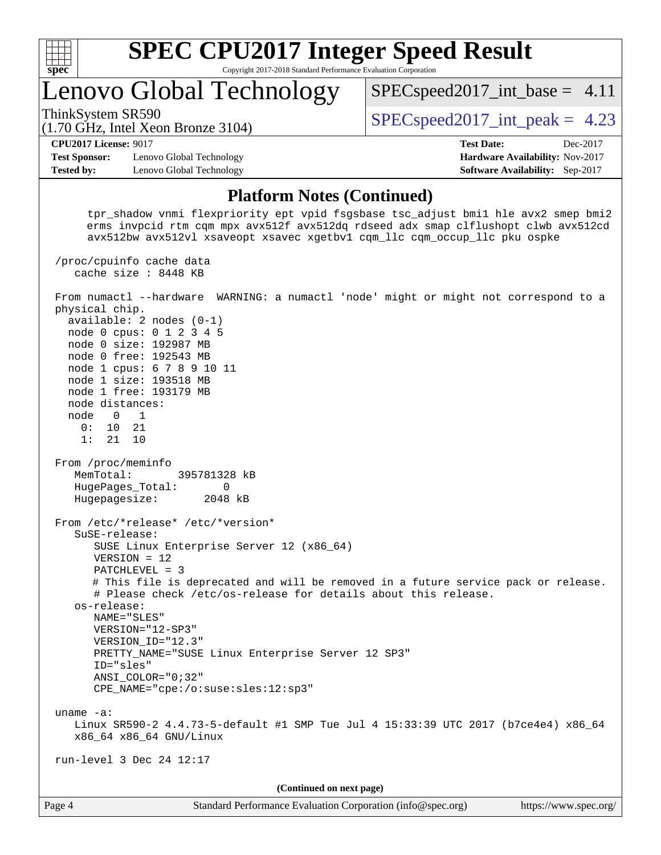

## Lenovo Global Technology

 $SPECspeed2017\_int\_base = 4.11$ 

(1.70 GHz, Intel Xeon Bronze 3104)

ThinkSystem SR590  $SPEC speed2017$  int peak = 4.23

#### **[CPU2017 License:](http://www.spec.org/auto/cpu2017/Docs/result-fields.html#CPU2017License)** 9017 **[Test Date:](http://www.spec.org/auto/cpu2017/Docs/result-fields.html#TestDate)** Dec-2017

**[Test Sponsor:](http://www.spec.org/auto/cpu2017/Docs/result-fields.html#TestSponsor)** Lenovo Global Technology **[Hardware Availability:](http://www.spec.org/auto/cpu2017/Docs/result-fields.html#HardwareAvailability)** Nov-2017 **[Tested by:](http://www.spec.org/auto/cpu2017/Docs/result-fields.html#Testedby)** Lenovo Global Technology **[Software Availability:](http://www.spec.org/auto/cpu2017/Docs/result-fields.html#SoftwareAvailability)** Sep-2017

#### **[Platform Notes \(Continued\)](http://www.spec.org/auto/cpu2017/Docs/result-fields.html#PlatformNotes)**

 tpr\_shadow vnmi flexpriority ept vpid fsgsbase tsc\_adjust bmi1 hle avx2 smep bmi2 erms invpcid rtm cqm mpx avx512f avx512dq rdseed adx smap clflushopt clwb avx512cd avx512bw avx512vl xsaveopt xsavec xgetbv1 cqm\_llc cqm\_occup\_llc pku ospke

 /proc/cpuinfo cache data cache size : 8448 KB

Page 4 Standard Performance Evaluation Corporation [\(info@spec.org\)](mailto:info@spec.org) <https://www.spec.org/> From numactl --hardware WARNING: a numactl 'node' might or might not correspond to a physical chip. available: 2 nodes (0-1) node 0 cpus: 0 1 2 3 4 5 node 0 size: 192987 MB node 0 free: 192543 MB node 1 cpus: 6 7 8 9 10 11 node 1 size: 193518 MB node 1 free: 193179 MB node distances: node 0 1 0: 10 21 1: 21 10 From /proc/meminfo MemTotal: 395781328 kB HugePages Total: 0 Hugepagesize: 2048 kB From /etc/\*release\* /etc/\*version\* SuSE-release: SUSE Linux Enterprise Server 12 (x86\_64) VERSION = 12 PATCHLEVEL = 3 # This file is deprecated and will be removed in a future service pack or release. # Please check /etc/os-release for details about this release. os-release: NAME="SLES" VERSION="12-SP3" VERSION\_ID="12.3" PRETTY\_NAME="SUSE Linux Enterprise Server 12 SP3" ID="sles" ANSI\_COLOR="0;32" CPE\_NAME="cpe:/o:suse:sles:12:sp3" uname -a: Linux SR590-2 4.4.73-5-default #1 SMP Tue Jul 4 15:33:39 UTC 2017 (b7ce4e4) x86\_64 x86\_64 x86\_64 GNU/Linux run-level 3 Dec 24 12:17 **(Continued on next page)**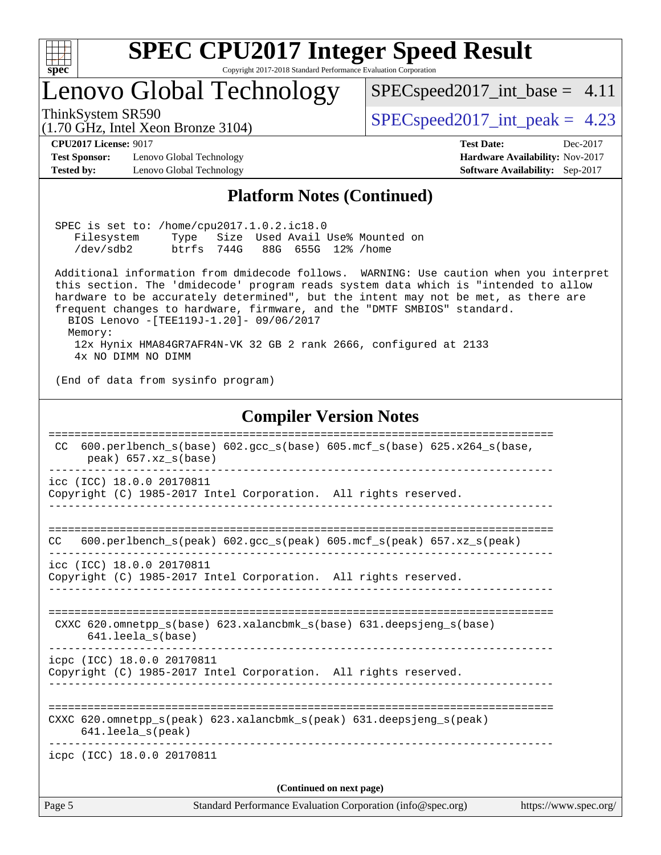

## Lenovo Global Technology

 $SPECspeed2017\_int\_base = 4.11$ 

(1.70 GHz, Intel Xeon Bronze 3104)

ThinkSystem SR590  $SPEC speed2017$  int peak = 4.23

**[Test Sponsor:](http://www.spec.org/auto/cpu2017/Docs/result-fields.html#TestSponsor)** Lenovo Global Technology **[Hardware Availability:](http://www.spec.org/auto/cpu2017/Docs/result-fields.html#HardwareAvailability)** Nov-2017 **[Tested by:](http://www.spec.org/auto/cpu2017/Docs/result-fields.html#Testedby)** Lenovo Global Technology **[Software Availability:](http://www.spec.org/auto/cpu2017/Docs/result-fields.html#SoftwareAvailability)** Sep-2017

**[CPU2017 License:](http://www.spec.org/auto/cpu2017/Docs/result-fields.html#CPU2017License)** 9017 **[Test Date:](http://www.spec.org/auto/cpu2017/Docs/result-fields.html#TestDate)** Dec-2017

#### **[Platform Notes \(Continued\)](http://www.spec.org/auto/cpu2017/Docs/result-fields.html#PlatformNotes)**

 SPEC is set to: /home/cpu2017.1.0.2.ic18.0 Filesystem Type Size Used Avail Use% Mounted on /dev/sdb2 btrfs 744G 88G 655G 12% /home

 Additional information from dmidecode follows. WARNING: Use caution when you interpret this section. The 'dmidecode' program reads system data which is "intended to allow hardware to be accurately determined", but the intent may not be met, as there are frequent changes to hardware, firmware, and the "DMTF SMBIOS" standard. BIOS Lenovo -[TEE119J-1.20]- 09/06/2017 Memory: 12x Hynix HMA84GR7AFR4N-VK 32 GB 2 rank 2666, configured at 2133

4x NO DIMM NO DIMM

(End of data from sysinfo program)

#### **[Compiler Version Notes](http://www.spec.org/auto/cpu2017/Docs/result-fields.html#CompilerVersionNotes)**

| Page 5                   | Standard Performance Evaluation Corporation (info@spec.org)                                                                | https://www.spec.org/ |  |  |  |  |
|--------------------------|----------------------------------------------------------------------------------------------------------------------------|-----------------------|--|--|--|--|
| (Continued on next page) |                                                                                                                            |                       |  |  |  |  |
|                          | icpc (ICC) 18.0.0 20170811                                                                                                 |                       |  |  |  |  |
|                          | CXXC 620.omnetpp $s(\text{peak})$ 623.xalancbmk $s(\text{peak})$ 631.deepsjeng $s(\text{peak})$<br>$641.$ leela $s$ (peak) |                       |  |  |  |  |
|                          | Copyright (C) 1985-2017 Intel Corporation. All rights reserved.<br>-----------------------------------                     |                       |  |  |  |  |
|                          | icpc (ICC) 18.0.0 20170811                                                                                                 |                       |  |  |  |  |
|                          | CXXC 620.omnetpp $s(base)$ 623.xalancbmk $s(base)$ 631.deepsjeng $s(base)$<br>$641.$ leela_s(base)                         |                       |  |  |  |  |
|                          | icc (ICC) 18.0.0 20170811<br>Copyright (C) 1985-2017 Intel Corporation. All rights reserved.                               |                       |  |  |  |  |
| CC.                      | $600. perlbench_s (peak) 602. gcc_s (peak) 605. mcf_s (peak) 657. xz_s (peak)$                                             |                       |  |  |  |  |
|                          |                                                                                                                            |                       |  |  |  |  |
|                          | icc (ICC) 18.0.0 20170811<br>Copyright (C) 1985-2017 Intel Corporation. All rights reserved.                               |                       |  |  |  |  |
| CC.                      | 600.perlbench $s(base)$ 602.qcc $s(base)$ 605.mcf $s(base)$ 625.x264 $s(base)$ ,<br>$peak)$ 657.xz $s(base)$               |                       |  |  |  |  |
|                          |                                                                                                                            |                       |  |  |  |  |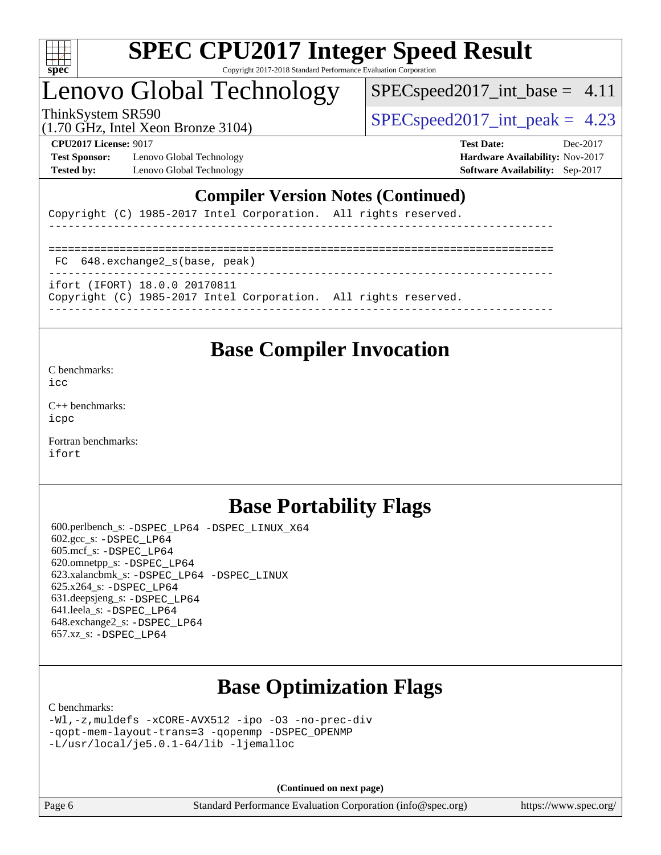

## Lenovo Global Technology

 $SPECspeed2017\_int\_base = 4.11$ 

(1.70 GHz, Intel Xeon Bronze 3104)

ThinkSystem SR590  $SPEC speed2017$  int peak = 4.23

**[Test Sponsor:](http://www.spec.org/auto/cpu2017/Docs/result-fields.html#TestSponsor)** Lenovo Global Technology **[Hardware Availability:](http://www.spec.org/auto/cpu2017/Docs/result-fields.html#HardwareAvailability)** Nov-2017 **[Tested by:](http://www.spec.org/auto/cpu2017/Docs/result-fields.html#Testedby)** Lenovo Global Technology **[Software Availability:](http://www.spec.org/auto/cpu2017/Docs/result-fields.html#SoftwareAvailability)** Sep-2017

**[CPU2017 License:](http://www.spec.org/auto/cpu2017/Docs/result-fields.html#CPU2017License)** 9017 **[Test Date:](http://www.spec.org/auto/cpu2017/Docs/result-fields.html#TestDate)** Dec-2017

### **[Compiler Version Notes \(Continued\)](http://www.spec.org/auto/cpu2017/Docs/result-fields.html#CompilerVersionNotes)**

Copyright (C) 1985-2017 Intel Corporation. All rights reserved.

------------------------------------------------------------------------------ ============================================================================== FC 648.exchange2\_s(base, peak) ----------------------------------------------------------------------------- ifort (IFORT) 18.0.0 20170811 Copyright (C) 1985-2017 Intel Corporation. All rights reserved. ------------------------------------------------------------------------------

## **[Base Compiler Invocation](http://www.spec.org/auto/cpu2017/Docs/result-fields.html#BaseCompilerInvocation)**

[C benchmarks](http://www.spec.org/auto/cpu2017/Docs/result-fields.html#Cbenchmarks):

[icc](http://www.spec.org/cpu2017/results/res2018q1/cpu2017-20171225-02162.flags.html#user_CCbase_intel_icc_18.0_66fc1ee009f7361af1fbd72ca7dcefbb700085f36577c54f309893dd4ec40d12360134090235512931783d35fd58c0460139e722d5067c5574d8eaf2b3e37e92)

[C++ benchmarks:](http://www.spec.org/auto/cpu2017/Docs/result-fields.html#CXXbenchmarks) [icpc](http://www.spec.org/cpu2017/results/res2018q1/cpu2017-20171225-02162.flags.html#user_CXXbase_intel_icpc_18.0_c510b6838c7f56d33e37e94d029a35b4a7bccf4766a728ee175e80a419847e808290a9b78be685c44ab727ea267ec2f070ec5dc83b407c0218cded6866a35d07)

[Fortran benchmarks](http://www.spec.org/auto/cpu2017/Docs/result-fields.html#Fortranbenchmarks): [ifort](http://www.spec.org/cpu2017/results/res2018q1/cpu2017-20171225-02162.flags.html#user_FCbase_intel_ifort_18.0_8111460550e3ca792625aed983ce982f94888b8b503583aa7ba2b8303487b4d8a21a13e7191a45c5fd58ff318f48f9492884d4413fa793fd88dd292cad7027ca)

## **[Base Portability Flags](http://www.spec.org/auto/cpu2017/Docs/result-fields.html#BasePortabilityFlags)**

 600.perlbench\_s: [-DSPEC\\_LP64](http://www.spec.org/cpu2017/results/res2018q1/cpu2017-20171225-02162.flags.html#b600.perlbench_s_basePORTABILITY_DSPEC_LP64) [-DSPEC\\_LINUX\\_X64](http://www.spec.org/cpu2017/results/res2018q1/cpu2017-20171225-02162.flags.html#b600.perlbench_s_baseCPORTABILITY_DSPEC_LINUX_X64) 602.gcc\_s: [-DSPEC\\_LP64](http://www.spec.org/cpu2017/results/res2018q1/cpu2017-20171225-02162.flags.html#suite_basePORTABILITY602_gcc_s_DSPEC_LP64) 605.mcf\_s: [-DSPEC\\_LP64](http://www.spec.org/cpu2017/results/res2018q1/cpu2017-20171225-02162.flags.html#suite_basePORTABILITY605_mcf_s_DSPEC_LP64) 620.omnetpp\_s: [-DSPEC\\_LP64](http://www.spec.org/cpu2017/results/res2018q1/cpu2017-20171225-02162.flags.html#suite_basePORTABILITY620_omnetpp_s_DSPEC_LP64) 623.xalancbmk\_s: [-DSPEC\\_LP64](http://www.spec.org/cpu2017/results/res2018q1/cpu2017-20171225-02162.flags.html#suite_basePORTABILITY623_xalancbmk_s_DSPEC_LP64) [-DSPEC\\_LINUX](http://www.spec.org/cpu2017/results/res2018q1/cpu2017-20171225-02162.flags.html#b623.xalancbmk_s_baseCXXPORTABILITY_DSPEC_LINUX) 625.x264\_s: [-DSPEC\\_LP64](http://www.spec.org/cpu2017/results/res2018q1/cpu2017-20171225-02162.flags.html#suite_basePORTABILITY625_x264_s_DSPEC_LP64) 631.deepsjeng\_s: [-DSPEC\\_LP64](http://www.spec.org/cpu2017/results/res2018q1/cpu2017-20171225-02162.flags.html#suite_basePORTABILITY631_deepsjeng_s_DSPEC_LP64) 641.leela\_s: [-DSPEC\\_LP64](http://www.spec.org/cpu2017/results/res2018q1/cpu2017-20171225-02162.flags.html#suite_basePORTABILITY641_leela_s_DSPEC_LP64) 648.exchange2\_s: [-DSPEC\\_LP64](http://www.spec.org/cpu2017/results/res2018q1/cpu2017-20171225-02162.flags.html#suite_basePORTABILITY648_exchange2_s_DSPEC_LP64) 657.xz\_s: [-DSPEC\\_LP64](http://www.spec.org/cpu2017/results/res2018q1/cpu2017-20171225-02162.flags.html#suite_basePORTABILITY657_xz_s_DSPEC_LP64)

## **[Base Optimization Flags](http://www.spec.org/auto/cpu2017/Docs/result-fields.html#BaseOptimizationFlags)**

[C benchmarks](http://www.spec.org/auto/cpu2017/Docs/result-fields.html#Cbenchmarks):

[-Wl,-z,muldefs](http://www.spec.org/cpu2017/results/res2018q1/cpu2017-20171225-02162.flags.html#user_CCbase_link_force_multiple1_b4cbdb97b34bdee9ceefcfe54f4c8ea74255f0b02a4b23e853cdb0e18eb4525ac79b5a88067c842dd0ee6996c24547a27a4b99331201badda8798ef8a743f577) [-xCORE-AVX512](http://www.spec.org/cpu2017/results/res2018q1/cpu2017-20171225-02162.flags.html#user_CCbase_f-xCORE-AVX512) [-ipo](http://www.spec.org/cpu2017/results/res2018q1/cpu2017-20171225-02162.flags.html#user_CCbase_f-ipo) [-O3](http://www.spec.org/cpu2017/results/res2018q1/cpu2017-20171225-02162.flags.html#user_CCbase_f-O3) [-no-prec-div](http://www.spec.org/cpu2017/results/res2018q1/cpu2017-20171225-02162.flags.html#user_CCbase_f-no-prec-div) [-qopt-mem-layout-trans=3](http://www.spec.org/cpu2017/results/res2018q1/cpu2017-20171225-02162.flags.html#user_CCbase_f-qopt-mem-layout-trans_de80db37974c74b1f0e20d883f0b675c88c3b01e9d123adea9b28688d64333345fb62bc4a798493513fdb68f60282f9a726aa07f478b2f7113531aecce732043) [-qopenmp](http://www.spec.org/cpu2017/results/res2018q1/cpu2017-20171225-02162.flags.html#user_CCbase_qopenmp_16be0c44f24f464004c6784a7acb94aca937f053568ce72f94b139a11c7c168634a55f6653758ddd83bcf7b8463e8028bb0b48b77bcddc6b78d5d95bb1df2967) [-DSPEC\\_OPENMP](http://www.spec.org/cpu2017/results/res2018q1/cpu2017-20171225-02162.flags.html#suite_CCbase_DSPEC_OPENMP) [-L/usr/local/je5.0.1-64/lib](http://www.spec.org/cpu2017/results/res2018q1/cpu2017-20171225-02162.flags.html#user_CCbase_jemalloc_link_path64_4b10a636b7bce113509b17f3bd0d6226c5fb2346b9178c2d0232c14f04ab830f976640479e5c33dc2bcbbdad86ecfb6634cbbd4418746f06f368b512fced5394) [-ljemalloc](http://www.spec.org/cpu2017/results/res2018q1/cpu2017-20171225-02162.flags.html#user_CCbase_jemalloc_link_lib_d1249b907c500fa1c0672f44f562e3d0f79738ae9e3c4a9c376d49f265a04b9c99b167ecedbf6711b3085be911c67ff61f150a17b3472be731631ba4d0471706)

**(Continued on next page)**

Page 6 Standard Performance Evaluation Corporation [\(info@spec.org\)](mailto:info@spec.org) <https://www.spec.org/>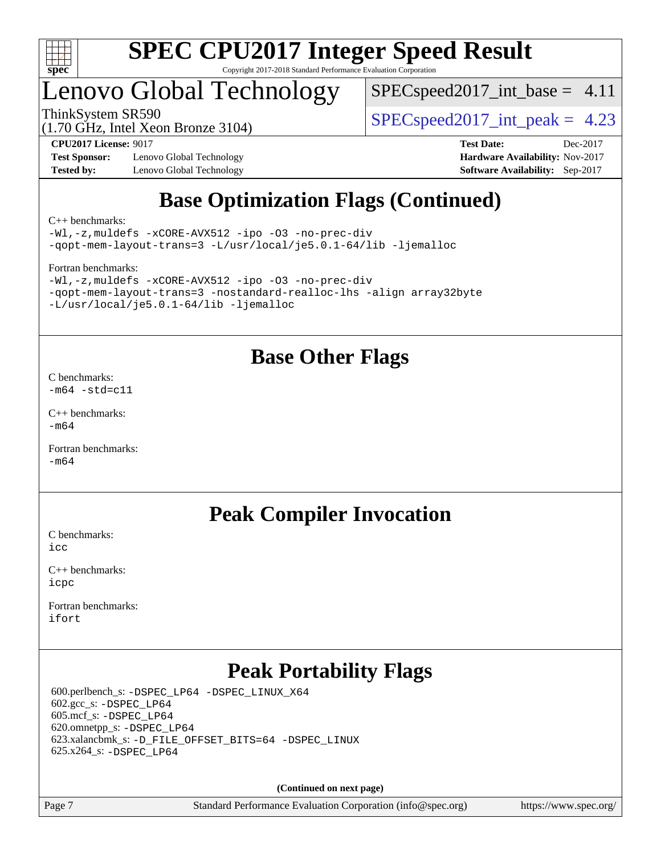

## Lenovo Global Technology

 $SPECspeed2017\_int\_base = 4.11$ 

(1.70 GHz, Intel Xeon Bronze 3104)

ThinkSystem SR590  $SPEC speed2017$  int peak = 4.23

**[Test Sponsor:](http://www.spec.org/auto/cpu2017/Docs/result-fields.html#TestSponsor)** Lenovo Global Technology **[Hardware Availability:](http://www.spec.org/auto/cpu2017/Docs/result-fields.html#HardwareAvailability)** Nov-2017 **[Tested by:](http://www.spec.org/auto/cpu2017/Docs/result-fields.html#Testedby)** Lenovo Global Technology **[Software Availability:](http://www.spec.org/auto/cpu2017/Docs/result-fields.html#SoftwareAvailability)** Sep-2017

**[CPU2017 License:](http://www.spec.org/auto/cpu2017/Docs/result-fields.html#CPU2017License)** 9017 **[Test Date:](http://www.spec.org/auto/cpu2017/Docs/result-fields.html#TestDate)** Dec-2017

## **[Base Optimization Flags \(Continued\)](http://www.spec.org/auto/cpu2017/Docs/result-fields.html#BaseOptimizationFlags)**

[C++ benchmarks:](http://www.spec.org/auto/cpu2017/Docs/result-fields.html#CXXbenchmarks)

[-Wl,-z,muldefs](http://www.spec.org/cpu2017/results/res2018q1/cpu2017-20171225-02162.flags.html#user_CXXbase_link_force_multiple1_b4cbdb97b34bdee9ceefcfe54f4c8ea74255f0b02a4b23e853cdb0e18eb4525ac79b5a88067c842dd0ee6996c24547a27a4b99331201badda8798ef8a743f577) [-xCORE-AVX512](http://www.spec.org/cpu2017/results/res2018q1/cpu2017-20171225-02162.flags.html#user_CXXbase_f-xCORE-AVX512) [-ipo](http://www.spec.org/cpu2017/results/res2018q1/cpu2017-20171225-02162.flags.html#user_CXXbase_f-ipo) [-O3](http://www.spec.org/cpu2017/results/res2018q1/cpu2017-20171225-02162.flags.html#user_CXXbase_f-O3) [-no-prec-div](http://www.spec.org/cpu2017/results/res2018q1/cpu2017-20171225-02162.flags.html#user_CXXbase_f-no-prec-div) [-qopt-mem-layout-trans=3](http://www.spec.org/cpu2017/results/res2018q1/cpu2017-20171225-02162.flags.html#user_CXXbase_f-qopt-mem-layout-trans_de80db37974c74b1f0e20d883f0b675c88c3b01e9d123adea9b28688d64333345fb62bc4a798493513fdb68f60282f9a726aa07f478b2f7113531aecce732043) [-L/usr/local/je5.0.1-64/lib](http://www.spec.org/cpu2017/results/res2018q1/cpu2017-20171225-02162.flags.html#user_CXXbase_jemalloc_link_path64_4b10a636b7bce113509b17f3bd0d6226c5fb2346b9178c2d0232c14f04ab830f976640479e5c33dc2bcbbdad86ecfb6634cbbd4418746f06f368b512fced5394) [-ljemalloc](http://www.spec.org/cpu2017/results/res2018q1/cpu2017-20171225-02162.flags.html#user_CXXbase_jemalloc_link_lib_d1249b907c500fa1c0672f44f562e3d0f79738ae9e3c4a9c376d49f265a04b9c99b167ecedbf6711b3085be911c67ff61f150a17b3472be731631ba4d0471706)

[Fortran benchmarks](http://www.spec.org/auto/cpu2017/Docs/result-fields.html#Fortranbenchmarks):

```
-Wl,-z,muldefs -xCORE-AVX512 -ipo -O3 -no-prec-div
-qopt-mem-layout-trans=3 -nostandard-realloc-lhs -align array32byte
-L/usr/local/je5.0.1-64/lib -ljemalloc
```
## **[Base Other Flags](http://www.spec.org/auto/cpu2017/Docs/result-fields.html#BaseOtherFlags)**

[C benchmarks](http://www.spec.org/auto/cpu2017/Docs/result-fields.html#Cbenchmarks):  $-m64 - std= c11$  $-m64 - std= c11$ 

[C++ benchmarks:](http://www.spec.org/auto/cpu2017/Docs/result-fields.html#CXXbenchmarks)  $-m64$ 

[Fortran benchmarks](http://www.spec.org/auto/cpu2017/Docs/result-fields.html#Fortranbenchmarks): [-m64](http://www.spec.org/cpu2017/results/res2018q1/cpu2017-20171225-02162.flags.html#user_FCbase_intel_intel64_18.0_af43caccfc8ded86e7699f2159af6efc7655f51387b94da716254467f3c01020a5059329e2569e4053f409e7c9202a7efc638f7a6d1ffb3f52dea4a3e31d82ab)

## **[Peak Compiler Invocation](http://www.spec.org/auto/cpu2017/Docs/result-fields.html#PeakCompilerInvocation)**

[C benchmarks](http://www.spec.org/auto/cpu2017/Docs/result-fields.html#Cbenchmarks):  $i$ cc

[C++ benchmarks:](http://www.spec.org/auto/cpu2017/Docs/result-fields.html#CXXbenchmarks) [icpc](http://www.spec.org/cpu2017/results/res2018q1/cpu2017-20171225-02162.flags.html#user_CXXpeak_intel_icpc_18.0_c510b6838c7f56d33e37e94d029a35b4a7bccf4766a728ee175e80a419847e808290a9b78be685c44ab727ea267ec2f070ec5dc83b407c0218cded6866a35d07)

[Fortran benchmarks](http://www.spec.org/auto/cpu2017/Docs/result-fields.html#Fortranbenchmarks): [ifort](http://www.spec.org/cpu2017/results/res2018q1/cpu2017-20171225-02162.flags.html#user_FCpeak_intel_ifort_18.0_8111460550e3ca792625aed983ce982f94888b8b503583aa7ba2b8303487b4d8a21a13e7191a45c5fd58ff318f48f9492884d4413fa793fd88dd292cad7027ca)

## **[Peak Portability Flags](http://www.spec.org/auto/cpu2017/Docs/result-fields.html#PeakPortabilityFlags)**

 600.perlbench\_s: [-DSPEC\\_LP64](http://www.spec.org/cpu2017/results/res2018q1/cpu2017-20171225-02162.flags.html#b600.perlbench_s_peakPORTABILITY_DSPEC_LP64) [-DSPEC\\_LINUX\\_X64](http://www.spec.org/cpu2017/results/res2018q1/cpu2017-20171225-02162.flags.html#b600.perlbench_s_peakCPORTABILITY_DSPEC_LINUX_X64) 602.gcc\_s: [-DSPEC\\_LP64](http://www.spec.org/cpu2017/results/res2018q1/cpu2017-20171225-02162.flags.html#suite_peakPORTABILITY602_gcc_s_DSPEC_LP64) 605.mcf\_s: [-DSPEC\\_LP64](http://www.spec.org/cpu2017/results/res2018q1/cpu2017-20171225-02162.flags.html#suite_peakPORTABILITY605_mcf_s_DSPEC_LP64) 620.omnetpp\_s: [-DSPEC\\_LP64](http://www.spec.org/cpu2017/results/res2018q1/cpu2017-20171225-02162.flags.html#suite_peakPORTABILITY620_omnetpp_s_DSPEC_LP64) 623.xalancbmk\_s: [-D\\_FILE\\_OFFSET\\_BITS=64](http://www.spec.org/cpu2017/results/res2018q1/cpu2017-20171225-02162.flags.html#user_peakPORTABILITY623_xalancbmk_s_file_offset_bits_64_5ae949a99b284ddf4e95728d47cb0843d81b2eb0e18bdfe74bbf0f61d0b064f4bda2f10ea5eb90e1dcab0e84dbc592acfc5018bc955c18609f94ddb8d550002c) [-DSPEC\\_LINUX](http://www.spec.org/cpu2017/results/res2018q1/cpu2017-20171225-02162.flags.html#b623.xalancbmk_s_peakCXXPORTABILITY_DSPEC_LINUX) 625.x264\_s: [-DSPEC\\_LP64](http://www.spec.org/cpu2017/results/res2018q1/cpu2017-20171225-02162.flags.html#suite_peakPORTABILITY625_x264_s_DSPEC_LP64)

**(Continued on next page)**

Page 7 Standard Performance Evaluation Corporation [\(info@spec.org\)](mailto:info@spec.org) <https://www.spec.org/>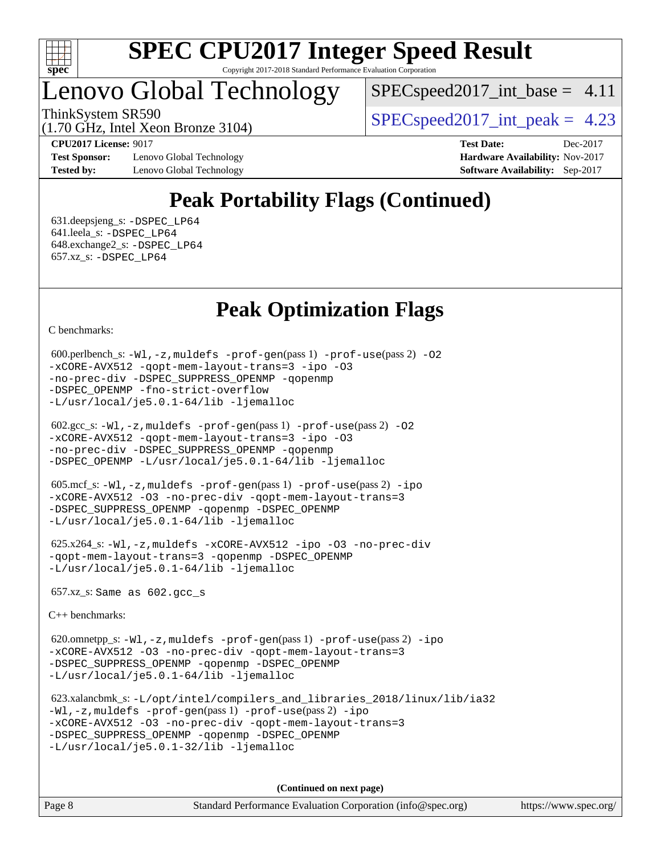

## Lenovo Global Technology

 $SPECspeed2017\_int\_base = 4.11$ 

ThinkSystem SR590  $SPEC speed2017$  int peak = 4.23

(1.70 GHz, Intel Xeon Bronze 3104)

**[Test Sponsor:](http://www.spec.org/auto/cpu2017/Docs/result-fields.html#TestSponsor)** Lenovo Global Technology **[Hardware Availability:](http://www.spec.org/auto/cpu2017/Docs/result-fields.html#HardwareAvailability)** Nov-2017 **[Tested by:](http://www.spec.org/auto/cpu2017/Docs/result-fields.html#Testedby)** Lenovo Global Technology **[Software Availability:](http://www.spec.org/auto/cpu2017/Docs/result-fields.html#SoftwareAvailability)** Sep-2017

**[CPU2017 License:](http://www.spec.org/auto/cpu2017/Docs/result-fields.html#CPU2017License)** 9017 **[Test Date:](http://www.spec.org/auto/cpu2017/Docs/result-fields.html#TestDate)** Dec-2017

## **[Peak Portability Flags \(Continued\)](http://www.spec.org/auto/cpu2017/Docs/result-fields.html#PeakPortabilityFlags)**

 631.deepsjeng\_s: [-DSPEC\\_LP64](http://www.spec.org/cpu2017/results/res2018q1/cpu2017-20171225-02162.flags.html#suite_peakPORTABILITY631_deepsjeng_s_DSPEC_LP64) 641.leela\_s: [-DSPEC\\_LP64](http://www.spec.org/cpu2017/results/res2018q1/cpu2017-20171225-02162.flags.html#suite_peakPORTABILITY641_leela_s_DSPEC_LP64) 648.exchange2\_s: [-DSPEC\\_LP64](http://www.spec.org/cpu2017/results/res2018q1/cpu2017-20171225-02162.flags.html#suite_peakPORTABILITY648_exchange2_s_DSPEC_LP64) 657.xz\_s: [-DSPEC\\_LP64](http://www.spec.org/cpu2017/results/res2018q1/cpu2017-20171225-02162.flags.html#suite_peakPORTABILITY657_xz_s_DSPEC_LP64)

## **[Peak Optimization Flags](http://www.spec.org/auto/cpu2017/Docs/result-fields.html#PeakOptimizationFlags)**

[C benchmarks](http://www.spec.org/auto/cpu2017/Docs/result-fields.html#Cbenchmarks):

```
600.perlbench_s: -W1-prof-gen-prof-use(pass 2) -02
-xCORE-AVX512 -qopt-mem-layout-trans=3 -ipo -O3
-no-prec-div -DSPEC_SUPPRESS_OPENMP -qopenmp
-DSPEC_OPENMP -fno-strict-overflow
-L/usr/local/je5.0.1-64/lib -ljemalloc
```

```
 602.gcc_s: -Wl,-z,muldefs -prof-gen(pass 1) -prof-use(pass 2) -O2
-xCORE-AVX512 -qopt-mem-layout-trans=3 -ipo -O3
-no-prec-div -DSPEC_SUPPRESS_OPENMP -qopenmp
-DSPEC_OPENMP -L/usr/local/je5.0.1-64/lib -ljemalloc
```

```
 605.mcf_s: -Wl,-z,muldefs -prof-gen(pass 1) -prof-use(pass 2) -ipo
-xCORE-AVX512 -O3 -no-prec-div -qopt-mem-layout-trans=3
-DSPEC_SUPPRESS_OPENMP -qopenmp -DSPEC_OPENMP
-L/usr/local/je5.0.1-64/lib -ljemalloc
```

```
 625.x264_s: -Wl,-z,muldefs -xCORE-AVX512 -ipo -O3 -no-prec-div
-qopt-mem-layout-trans=3 -qopenmp -DSPEC_OPENMP
-L/usr/local/je5.0.1-64/lib -ljemalloc
```
657.xz\_s: Same as 602.gcc\_s

[C++ benchmarks:](http://www.spec.org/auto/cpu2017/Docs/result-fields.html#CXXbenchmarks)

 620.omnetpp\_s: [-Wl,-z,muldefs](http://www.spec.org/cpu2017/results/res2018q1/cpu2017-20171225-02162.flags.html#user_peakEXTRA_LDFLAGS620_omnetpp_s_link_force_multiple1_b4cbdb97b34bdee9ceefcfe54f4c8ea74255f0b02a4b23e853cdb0e18eb4525ac79b5a88067c842dd0ee6996c24547a27a4b99331201badda8798ef8a743f577) [-prof-gen](http://www.spec.org/cpu2017/results/res2018q1/cpu2017-20171225-02162.flags.html#user_peakPASS1_CXXFLAGSPASS1_LDFLAGS620_omnetpp_s_prof_gen_5aa4926d6013ddb2a31985c654b3eb18169fc0c6952a63635c234f711e6e63dd76e94ad52365559451ec499a2cdb89e4dc58ba4c67ef54ca681ffbe1461d6b36)(pass 1) [-prof-use](http://www.spec.org/cpu2017/results/res2018q1/cpu2017-20171225-02162.flags.html#user_peakPASS2_CXXFLAGSPASS2_LDFLAGS620_omnetpp_s_prof_use_1a21ceae95f36a2b53c25747139a6c16ca95bd9def2a207b4f0849963b97e94f5260e30a0c64f4bb623698870e679ca08317ef8150905d41bd88c6f78df73f19)(pass 2) [-ipo](http://www.spec.org/cpu2017/results/res2018q1/cpu2017-20171225-02162.flags.html#user_peakPASS1_CXXOPTIMIZEPASS2_CXXOPTIMIZE620_omnetpp_s_f-ipo) [-xCORE-AVX512](http://www.spec.org/cpu2017/results/res2018q1/cpu2017-20171225-02162.flags.html#user_peakPASS2_CXXOPTIMIZE620_omnetpp_s_f-xCORE-AVX512) [-O3](http://www.spec.org/cpu2017/results/res2018q1/cpu2017-20171225-02162.flags.html#user_peakPASS1_CXXOPTIMIZEPASS2_CXXOPTIMIZE620_omnetpp_s_f-O3) [-no-prec-div](http://www.spec.org/cpu2017/results/res2018q1/cpu2017-20171225-02162.flags.html#user_peakPASS1_CXXOPTIMIZEPASS2_CXXOPTIMIZE620_omnetpp_s_f-no-prec-div) [-qopt-mem-layout-trans=3](http://www.spec.org/cpu2017/results/res2018q1/cpu2017-20171225-02162.flags.html#user_peakPASS1_CXXOPTIMIZEPASS2_CXXOPTIMIZE620_omnetpp_s_f-qopt-mem-layout-trans_de80db37974c74b1f0e20d883f0b675c88c3b01e9d123adea9b28688d64333345fb62bc4a798493513fdb68f60282f9a726aa07f478b2f7113531aecce732043) [-DSPEC\\_SUPPRESS\\_OPENMP](http://www.spec.org/cpu2017/results/res2018q1/cpu2017-20171225-02162.flags.html#suite_peakPASS1_CXXOPTIMIZE620_omnetpp_s_DSPEC_SUPPRESS_OPENMP) [-qopenmp](http://www.spec.org/cpu2017/results/res2018q1/cpu2017-20171225-02162.flags.html#user_peakPASS2_CXXOPTIMIZE620_omnetpp_s_qopenmp_16be0c44f24f464004c6784a7acb94aca937f053568ce72f94b139a11c7c168634a55f6653758ddd83bcf7b8463e8028bb0b48b77bcddc6b78d5d95bb1df2967) [-DSPEC\\_OPENMP](http://www.spec.org/cpu2017/results/res2018q1/cpu2017-20171225-02162.flags.html#suite_peakPASS2_CXXOPTIMIZE620_omnetpp_s_DSPEC_OPENMP) [-L/usr/local/je5.0.1-64/lib](http://www.spec.org/cpu2017/results/res2018q1/cpu2017-20171225-02162.flags.html#user_peakEXTRA_LIBS620_omnetpp_s_jemalloc_link_path64_4b10a636b7bce113509b17f3bd0d6226c5fb2346b9178c2d0232c14f04ab830f976640479e5c33dc2bcbbdad86ecfb6634cbbd4418746f06f368b512fced5394) [-ljemalloc](http://www.spec.org/cpu2017/results/res2018q1/cpu2017-20171225-02162.flags.html#user_peakEXTRA_LIBS620_omnetpp_s_jemalloc_link_lib_d1249b907c500fa1c0672f44f562e3d0f79738ae9e3c4a9c376d49f265a04b9c99b167ecedbf6711b3085be911c67ff61f150a17b3472be731631ba4d0471706)

```
 623.xalancbmk_s: -L/opt/intel/compilers_and_libraries_2018/linux/lib/ia32
-Wl,-z,muldefs -prof-gen(pass 1) -prof-use(pass 2) -ipo
-xCORE-AVX512 -O3 -no-prec-div -qopt-mem-layout-trans=3
-DSPEC_SUPPRESS_OPENMP -qopenmp -DSPEC_OPENMP
-L/usr/local/je5.0.1-32/lib -ljemalloc
```
**(Continued on next page)**